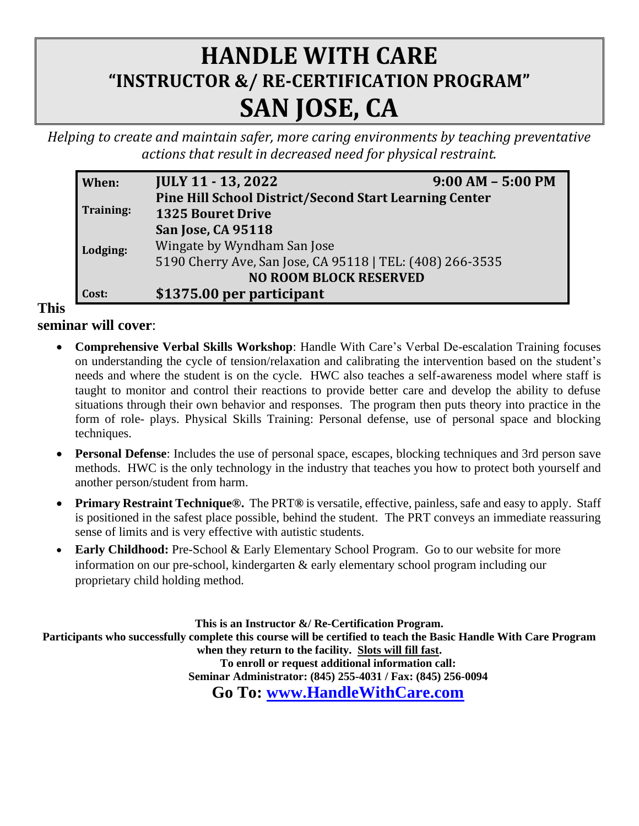## **HANDLE WITH CARE "INSTRUCTOR &/ RE-CERTIFICATION PROGRAM" SAN JOSE, CA**

*Helping to create and maintain safer, more caring environments by teaching preventative actions that result in decreased need for physical restraint.* 

| When:                         | <b>JULY 11 - 13, 2022</b>                                     | $9:00 AM - 5:00 PM$ |  |  |  |
|-------------------------------|---------------------------------------------------------------|---------------------|--|--|--|
|                               | <b>Pine Hill School District/Second Start Learning Center</b> |                     |  |  |  |
| Training:                     | <b>1325 Bouret Drive</b>                                      |                     |  |  |  |
|                               | <b>San Jose, CA 95118</b>                                     |                     |  |  |  |
| Lodging:                      | Wingate by Wyndham San Jose                                   |                     |  |  |  |
|                               | 5190 Cherry Ave, San Jose, CA 95118   TEL: (408) 266-3535     |                     |  |  |  |
| <b>NO ROOM BLOCK RESERVED</b> |                                                               |                     |  |  |  |
| Cost:                         | \$1375.00 per participant                                     |                     |  |  |  |

**This** 

**seminar will cover**:

- **Comprehensive Verbal Skills Workshop**: Handle With Care's Verbal De-escalation Training focuses on understanding the cycle of tension/relaxation and calibrating the intervention based on the student's needs and where the student is on the cycle. HWC also teaches a self-awareness model where staff is taught to monitor and control their reactions to provide better care and develop the ability to defuse situations through their own behavior and responses. The program then puts theory into practice in the form of role- plays. Physical Skills Training: Personal defense, use of personal space and blocking techniques.
- **Personal Defense**: Includes the use of personal space, escapes, blocking techniques and 3rd person save methods. HWC is the only technology in the industry that teaches you how to protect both yourself and another person/student from harm.
- **Primary Restraint Technique®.** The PRT**®** is versatile, effective, painless, safe and easy to apply. Staff is positioned in the safest place possible, behind the student. The PRT conveys an immediate reassuring sense of limits and is very effective with autistic students.
- **Early Childhood:** Pre-School & Early Elementary School Program. Go to our website for more information on our pre-school, kindergarten & early elementary school program including our proprietary child holding method.

**This is an Instructor &/ Re-Certification Program. Participants who successfully complete this course will be certified to teach the Basic Handle With Care Program when they return to the facility. Slots will fill fast. To enroll or request additional information call: Seminar Administrator: (845) 255-4031 / Fax: (845) 256-0094 Go To: [www.HandleWithCare.com](http://www.handlewithcare.com/)**